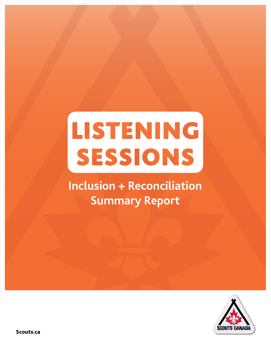# LISTENING SESSIONS

### **Inclusion + Reconciliation Summary Report**



Scouts.ca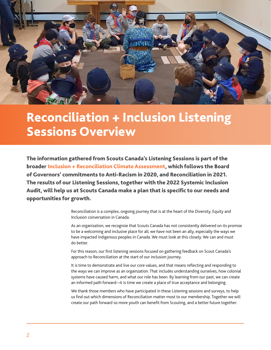

### Reconciliation + Inclusion Listening Sessions Overview

The information gathered from Scouts Canada's Listening Sessions is part of the broader Inclusion + Reconciliation Climate Assessment, which follows the Board of Governors' commitments to Anti-Racism in 2020, and Reconciliation in 2021. The results of our Listening Sessions, together with the 2022 Systemic Inclusion Audit, will help us at Scouts Canada make a plan that is specific to our needs and opportunities for growth.

> Reconciliation is a complex, ongoing journey that is at the heart of the Diversity, Equity and Inclusion conversation in Canada.

As an organization, we recognize that Scouts Canada has not consistently delivered on its promise to be a welcoming and inclusive place for all; we have not been an ally, especially the ways we have impacted Indigenous peoples in Canada. We must look at this closely. We can and must do better.

For this reason, our first listening sessions focused on gathering feedback on Scout Canada's approach to Reconciliation at the start of our inclusion journey.

It is time to demonstrate and live our core values, and that means reflecting and responding to the ways we can improve as an orgainzation. That includes understanding ourselves, how colonial systems have caused harm, and what our role has been. By learning from our past, we can create an informed path forward—it is time we create a place of true acceptance and belonging.

We thank those members who have participated in these Listening sessions and surveys, to help us find out which dimensions of Reconciliation matter most to our membership. Together we will create our path forward so more youth can benefit from Scouting, and a better future together.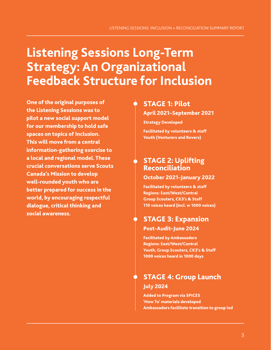### **Listening Sessions Long-Term Strategy: An Organizational Feedback Structure for Inclusion**

One of the original purposes of the Listening Sessions was to pilot a new social support model for our membership to hold safe spaces on topics of Inclusion. This will move from a central information-gathering exercise to a local and regional model. These crucial conversations serve Scouts Canada's Mission to develop well-rounded youth who are better prepared for success in the world, by encouraging respectful dialogue, critical thinking and social awareness.

#### STAGE 1: Pilot

April 2021–September 2021

Strategy Developed

Facilitated by volunteers & staff Youth (Venturers and Rovers)

#### STAGE 2: Uplifting Reconciliation

#### October 2021–January 2022

Facilitated by volunteers & staff Regions: East/West/Central Group Scouters, CK3's & Staff 110 voices heard (incl. w 1000 voices)

#### STAGE 3: Expansion Post-Audit–June 2024

Facilitated by Ambassadors Regions: East/West/Central Youth, Group Scouters, CK3's & Staff 1000 voices heard in 1000 days

### STAGE 4: Group Launch July 2024

Added to Program via SPICES 'How To' materials developed Ambassadors facilitate transition to group led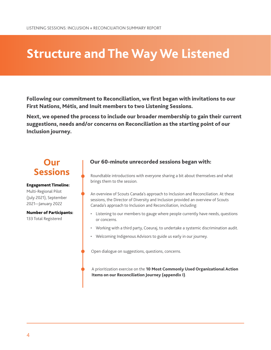### **Structure and The Way We Listened**

Following our commitment to Reconciliation, we first began with invitations to our First Nations, Métis, and Inuit members to two Listening Sessions.

Next, we opened the process to include our broader membership to gain their current suggestions, needs and/or concerns on Reconciliation as the starting point of our Inclusion journey.

### **Our Sessions**

#### Engagement Timeline:

Multi-Regional Pilot (July 2021), September 2021—January 2022

#### Number of Participants:

133 Total Registered

#### Our 60-minute unrecorded sessions began with:

Roundtable introductions with everyone sharing a bit about themselves and what brings them to the session.

An overview of Scouts Canada's approach to Inclusion and Reconciliation. At these sessions, the Director of Diversity and Inclusion provided an overview of Scouts Canada's approach to Inclusion and Reconciliation, including:

- Listening to our members to gauge where people currently have needs, questions or concerns.
- Working with a third party, Coeuraj, to undertake a systemic discrimination audit.
- Welcoming Indigenous Advisors to guide us early in our journey.

Open dialogue on suggestions, questions, concerns.

A prioritization exercise on the 10 Most Commonly Used Organizational Action Items on our Reconciliation Journey (appendix I).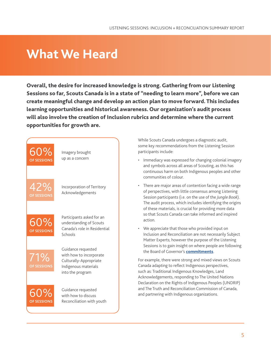### **What We Heard**

Overall, the desire for increased knowledge is strong. Gathering from our Listening Sessions so far, Scouts Canada is in a state of "needing to learn more", before we can create meaningful change and develop an action plan to move forward. This includes learning opportunities and historical awareness. Our organization's audit process will also involve the creation of Inclusion rubrics and determine where the current opportunities for growth are.



While Scouts Canada undergoes a diagnostic audit, some key recommendations from the Listening Session participants include:

- Immediacy was expressed for changing colonial imagery and symbols across all areas of Scouting, as this has continuous harm on both Indigenous peoples and other communities of colour.
- There are major areas of contention facing a wide range of perspectives, with little consensus among Listening Session participants (i.e. on the use of the *Jungle Book*). The audit process, which includes identifying the origins of these materials, is crucial for providing more data so that Scouts Canada can take informed and inspired action.
- We appreciate that those who provided input on Inclusion and Reconciliation are not necessarily Subject Matter Experts; however the purpose of the Listening Sessions is to gain insight on where people are following the Board of Governor's **[commitments](https://www.scouts.ca/councils/central/central-escarpment/council-news-and-events/2021/06/07/statement-from-our-board-of-governors/)**.

For example, there were strong and mixed views on Scouts Canada adapting to reflect Indigenous perspectives, such as: Traditional Indigenous Knowledges, Land Acknowledgements, responding to The United Nations Declaration on the Rights of Indigenous Peoples (UNDRIP) and The Truth and Reconciliation Commission of Canada, and partnering with Indigenous organizations.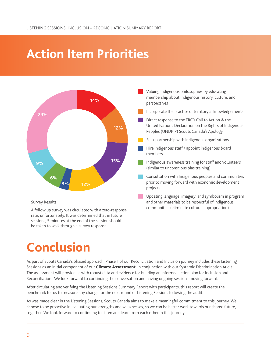# **Action Item Priorities**



#### Survey Results

A follow up survey was circulated with a zero-response rate, unfortunately. It was determined that in future sessions, 5 minutes at the end of the session should be taken to walk through a survey response.

Valuing Indigenous philosophies by educating membership about indigenous history, culture, and perspectives

- Incorporate the practise of territory acknowledgements
- Direct response to the TRC's Call to Action & the United Nations Declaration on the Rights of Indigenous Peoples (UNDRIP) Scouts Canada's Apology
- Seek partnership with indigenous organizations
- Hire indigenous staff / appoint indigenous board members
- Indigenous awareness training for staff and volunteers (similar to unconscious bias training)
- Consultation with Indigenous peoples and communities prior to moving forward with economic development projects
- Updating language, imagery, and symbolism in program and other materials to be respectful of indigenous communities (eliminate cultural appropriation)

# **Conclusion**

As part of Scouts Canada's phased approach, Phase 1 of our Reconciliation and Inclusion journey includes these Listening Sessions as an initial component of our **Climate Assessment**, in conjunction with our Systemic Discrimination Audit. The assessment will provide us with robust data and evidence for building an informed action plan for Inclusion and Reconciliation. We look forward to continuing the conversation and having ongoing sessions moving forward.

After circulating and verifying the Listening Sessions Summary Report with participants, this report will create the benchmark for us to measure any change for the next round of Listening Sessions following the audit.

As was made clear in the Listening Sessions, Scouts Canada aims to make a meaningful commitment to this journey. We choose to be proactive in evaluating our strengths and weaknesses, so we can be better work towards our shared future, together. We look forward to continuing to listen and learn from each other in this journey.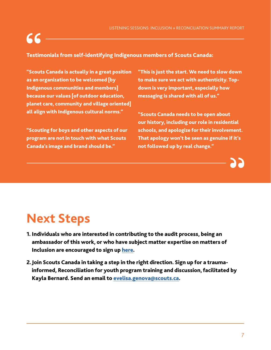

#### Testimonials from self-identifying Indigenous members of Scouts Canada:

"Scouts Canada is actually in a great position as an organization to be welcomed [by Indigenous communities and members] because our values [of outdoor education, planet care, community and village oriented] all align with Indigenous cultural norms."

"Scouting for boys and other aspects of our program are not in touch with what Scouts Canada's image and brand should be."

"This is just the start. We need to slow down to make sure we act with authenticity. Topdown is very important, especially how messaging is shared with all of us."

"Scouts Canada needs to be open about our history, including our role in residential schools, and apologize for their involvement. That apology won't be seen as genuine if it's not followed up by real change."

# **Next Steps**

- 1. Individuals who are interested in contributing to the audit process, being an ambassador of this work, or who have subject matter expertise on matters of Inclusion are encouraged to sign up [here](https://app.smartsheet.com/b/form/3b758f4b53fc4793b974a86c86f341ca).
- 2.Join Scouts Canada in taking a step in the right direction. Sign up for a traumainformed, Reconciliation for youth program training and discussion, facilitated by Kayla Bernard. Send an email to [evelisa.genova@scouts.ca](mailto:evelisa.genova%40scouts.ca?subject=).